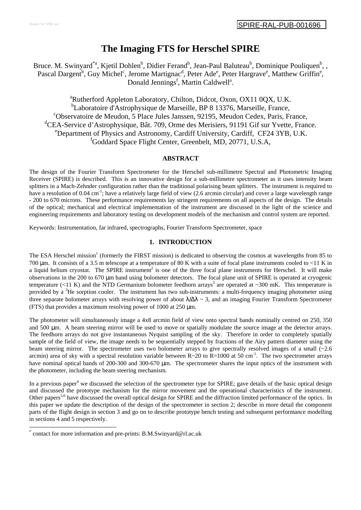# **The Imaging FTS for Herschel SPIRE**

Bruce. M. Swinyard<sup>\*a</sup>, Kjetil Dohlen<sup>b</sup>, Didier Ferand<sup>b</sup>, Jean-Paul Baluteau<sup>b</sup>, Dominique Pouliquen<sup>b</sup>, , Pascal Dargent<sup>b</sup>, Guy Michel<sup>c</sup>, Jerome Martignac<sup>d</sup>, Peter Ade<sup>e</sup>, Peter Hargrave<sup>e</sup>, Matthew Griffin<sup>e</sup>, Donald Jennings<sup>f</sup>, Martin Caldwell<sup>a</sup>.

<sup>a</sup>Rutherford Appleton Laboratory, Chilton, Didcot, Oxon, OX11 0QX, U.K. <sup>b</sup>Laboratoire d'Astrophysique de Marseille, BP 8 13376, Marseille, France, Observatoire de Meudon, 5 Place Jules Janssen, 92195, Meudon Cedex, Paris, France, <sup>d</sup>CEA-Service d'Astrophysique, Bât. 709, Orme des Merisiers, 91191 Gif sur Yvette, France.<br>
<sup>e</sup>Department of Physics and Astronomy, Cardiff University, Cardiff, CF24 3YB, U.K. f Goddard Space Flight Center, Greenbelt, MD, 20771, U.S.A,

# **ABSTRACT**

The design of the Fourier Transform Spectrometer for the Herschel sub-millimetre Spectral and Photometric Imaging Receiver (SPIRE) is described. This is an innovative design for a sub-millimetre spectrometer as it uses intensity beam splitters in a Mach-Zehnder configuration rather than the traditional polarising beam splitters. The instrument is required to have a resolution of  $0.04 \text{ cm}^{-1}$ ; have a relatively large field of view (2.6 arcmin circular) and cover a large wavelength range - 200 to 670 microns. These performance requirements lay stringent requirements on all aspects of the design. The details of the optical; mechanical and electrical implementation of the instrument are discussed in the light of the science and engineering requirements and laboratory testing on development models of the mechanism and control system are reported.

Keywords: Instrumentation, far infrared, spectrographs, Fourier Transform Spectrometer, space

# **1. INTRODUCTION**

The ESA Herschel mission<sup>1</sup> (formerly the FIRST mission) is dedicated to observing the cosmos at wavelengths from 85 to 700  $\mu$ m. It consists of a 3.5 m telescope at a temperature of 80 K with a suite of focal plane instruments cooled to  $\lt 11$  K in a liquid helium cryostat. The SPIRE instrument<sup>2</sup> is one of the three focal plane instruments for Herschel. It will make observations in the 200 to 670 µm band using bolometer detectors. The focal plane unit of SPIRE is operated at cryogenic temperature  $(<11 K)$  and the NTD Germanium bolometer feedhorn arrays<sup>3</sup> are operated at  $\sim$ 300 mK. This temperature is provided by a <sup>3</sup>He sorption cooler. The instrument has two sub-instruments: a multi-frequency imaging photometer using three separate bolometer arrays with resolving power of about  $\lambda/\Delta\lambda \sim 3$ , and an imaging Fourier Transform Spectrometer (FTS) that provides a maximum resolving power of  $1000$  at  $250 \mu m$ .

The photometer will simultaneously image a 4x8 arcmin field of view onto spectral bands nominally centred on 250, 350 and 500 µm. A beam steering mirror will be used to move or spatially modulate the source image at the detector arrays. The feedhorn arrays do not give instantaneous Nyquist sampling of the sky. Therefore in order to completely spatially sample of the field of view, the image needs to be sequentially stepped by fractions of the Airy pattern diameter using the beam steering mirror. The spectrometer uses two bolometer arrays to give spectrally resolved images of a small  $\sim 2.6$ arcmin) area of sky with a spectral resolution variable between  $R \sim 20$  to  $R = 1000$  at 50 cm<sup>-1</sup>. The two spectrometer arrays have nominal optical bands of 200-300 and 300-670  $\mu$ m. The spectrometer shares the input optics of the instrument with the photometer, including the beam steering mechanism.

In a previous paper<sup>4</sup> we discussed the selection of the spectrometer type for SPIRE; gave details of the basic optical design and discussed the prototype mechanism for the mirror movement and the operational characteristics of the instrument. Other papers<sup>5,6</sup> have discussed the overall optical design for SPIRE and the diffraction limited performance of the optics. In this paper we update the description of the design of the spectrometer in section 2; describe in more detail the component parts of the flight design in section 3 and go on to describe prototype bench testing and subsequent performance modelling in sections 4 and 5 respectively.

l

<sup>\*</sup> contact for more information and pre-prints: B.M.Swinyard@rl.ac.uk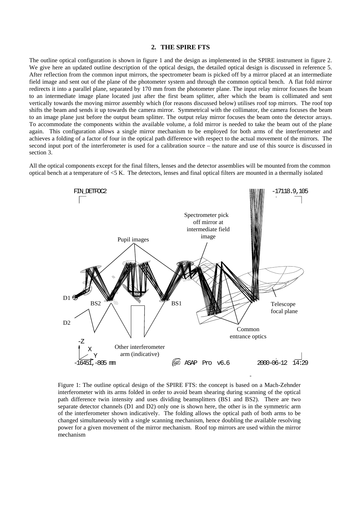# **2. THE SPIRE FTS**

The outline optical configuration is shown in figure 1 and the design as implemented in the SPIRE instrument in figure 2. We give here an updated outline description of the optical design, the detailed optical design is discussed in reference 5. After reflection from the common input mirrors, the spectrometer beam is picked off by a mirror placed at an intermediate field image and sent out of the plane of the photometer system and through the common optical bench. A flat fold mirror redirects it into a parallel plane, separated by 170 mm from the photometer plane. The input relay mirror focuses the beam to an intermediate image plane located just after the first beam splitter, after which the beam is collimated and sent vertically towards the moving mirror assembly which (for reasons discussed below) utilises roof top mirrors. The roof top shifts the beam and sends it up towards the camera mirror. Symmetrical with the collimator, the camera focuses the beam to an image plane just before the output beam splitter. The output relay mirror focuses the beam onto the detector arrays. To accommodate the components within the available volume, a fold mirror is needed to take the beam out of the plane again. This configuration allows a single mirror mechanism to be employed for both arms of the interferometer and achieves a folding of a factor of four in the optical path difference with respect to the actual movement of the mirrors. The second input port of the interferometer is used for a calibration source – the nature and use of this source is discussed in section 3.

All the optical components except for the final filters, lenses and the detector assemblies will be mounted from the common optical bench at a temperature of <5 K. The detectors, lenses and final optical filters are mounted in a thermally isolated



– Figure 1: The outline optical design of the SPIRE FTS: the concept is based on a Mach-Zehnder interferometer with its arms folded in order to avoid beam shearing during scanning of the optical path difference twin intensity and uses dividing beamsplitters (BS1 and BS2). There are two separate detector channels (D1 and D2) only one is shown here, the other is in the symmetric arm of the interferometer shown indicatively. The folding allows the optical path of both arms to be changed simultaneously with a single scanning mechanism, hence doubling the available resolving power for a given movement of the mirror mechanism. Roof top mirrors are used within the mirror mechanism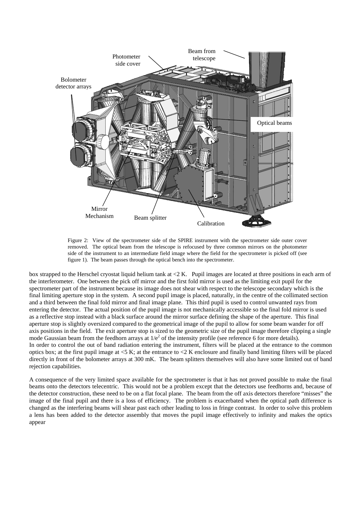

Figure 2: View of the spectrometer side of the SPIRE instrument with the spectrometer side outer cover removed. The optical beam from the telescope is refocused by three common mirrors on the photometer side of the instrument to an intermediate field image where the field for the spectrometer is picked off (see figure 1). The beam passes through the optical bench into the spectrometer.

box strapped to the Herschel cryostat liquid helium tank at <2 K. Pupil images are located at three positions in each arm of the interferometer. One between the pick off mirror and the first fold mirror is used as the limiting exit pupil for the spectrometer part of the instrument because its image does not shear with respect to the telescope secondary which is the final limiting aperture stop in the system. A second pupil image is placed, naturally, in the centre of the collimated section and a third between the final fold mirror and final image plane. This third pupil is used to control unwanted rays from entering the detector. The actual position of the pupil image is not mechanically accessible so the final fold mirror is used as a reflective stop instead with a black surface around the mirror surface defining the shape of the aperture. This final aperture stop is slightly oversized compared to the geometrical image of the pupil to allow for some beam wander for off axis positions in the field. The exit aperture stop is sized to the geometric size of the pupil image therefore clipping a single mode Gaussian beam from the feedhorn arrays at  $1/e^2$  of the intensity profile (see reference 6 for more details). In order to control the out of band radiation entering the instrument, filters will be placed at the entrance to the common optics box; at the first pupil image at <5 K; at the entrance to <2 K enclosure and finally band limiting filters will be placed directly in front of the bolometer arrays at 300 mK. The beam splitters themselves will also have some limited out of band rejection capabilities.

A consequence of the very limited space available for the spectrometer is that it has not proved possible to make the final beams onto the detectors telecentric. This would not be a problem except that the detectors use feedhorns and, because of the detector construction, these need to be on a flat focal plane. The beam from the off axis detectors therefore "misses" the image of the final pupil and there is a loss of efficiency. The problem is exacerbated when the optical path difference is changed as the interfering beams will shear past each other leading to loss in fringe contrast. In order to solve this problem a lens has been added to the detector assembly that moves the pupil image effectively to infinity and makes the optics appear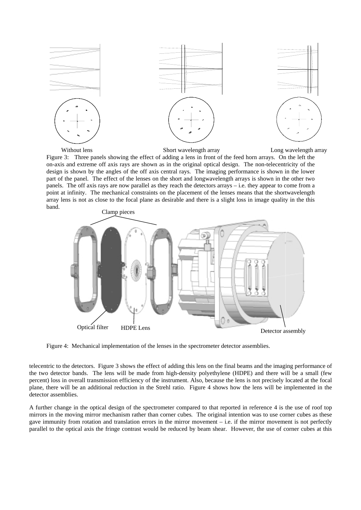

Figure 3: Three panels showing the effect of adding a lens in front of the feed horn arrays. On the left the on-axis and extreme off axis rays are shown as in the original optical design. The non-telecentricity of the design is shown by the angles of the off axis central rays. The imaging performance is shown in the lower part of the panel. The effect of the lenses on the short and longwavelength arrays is shown in the other two panels. The off axis rays are now parallel as they reach the detectors arrays – i.e. they appear to come from a point at infinity. The mechanical constraints on the placement of the lenses means that the shortwavelength array lens is not as close to the focal plane as desirable and there is a slight loss in image quality in the this band.



Figure 4: Mechanical implementation of the lenses in the spectrometer detector assemblies.

telecentric to the detectors. Figure 3 shows the effect of adding this lens on the final beams and the imaging performance of the two detector bands. The lens will be made from high-density polyethylene (HDPE) and there will be a small (few percent) loss in overall transmission efficiency of the instrument. Also, because the lens is not precisely located at the focal plane, there will be an additional reduction in the Strehl ratio. Figure 4 shows how the lens will be implemented in the detector assemblies.

A further change in the optical design of the spectrometer compared to that reported in reference 4 is the use of roof top mirrors in the moving mirror mechanism rather than corner cubes*.* The original intention was to use corner cubes as these gave immunity from rotation and translation errors in the mirror movement – i.e. if the mirror movement is not perfectly parallel to the optical axis the fringe contrast would be reduced by beam shear. However, the use of corner cubes at this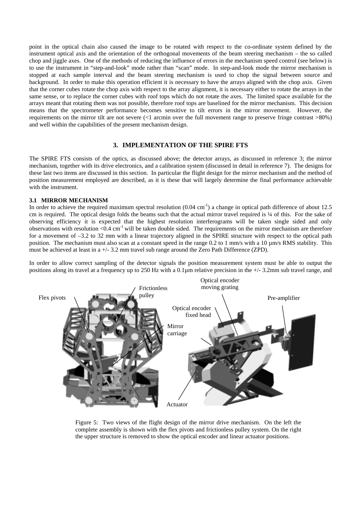point in the optical chain also caused the image to be rotated with respect to the co-ordinate system defined by the instrument optical axis and the orientation of the orthogonal movements of the beam steering mechanism – the so called chop and jiggle axes. One of the methods of reducing the influence of errors in the mechanism speed control (see below) is to use the instrument in "step-and-look" mode rather than "scan" mode. In step-and-look mode the mirror mechanism is stopped at each sample interval and the beam steering mechanism is used to chop the signal between source and background. In order to make this operation efficient it is necessary to have the arrays aligned with the chop axis. Given that the corner cubes rotate the chop axis with respect to the array alignment, it is necessary either to rotate the arrays in the same sense, or to replace the corner cubes with roof tops which do not rotate the axes. The limited space available for the arrays meant that rotating them was not possible, therefore roof tops are baselined for the mirror mechanism. This decision means that the spectrometer performance becomes sensitive to tilt errors in the mirror movement. However, the requirements on the mirror tilt are not severe (<1 arcmin over the full movement range to preserve fringe contrast >80%) and well within the capabilities of the present mechanism design.

## **3. IMPLEMENTATION OF THE SPIRE FTS**

The SPIRE FTS consists of the optics, as discussed above; the detector arrays, as discussed in reference 3; the mirror mechanism, together with its drive electronics, and a calibration system (discussed in detail in reference 7). The designs for these last two items are discussed in this section. In particular the flight design for the mirror mechanism and the method of position measurement employed are described, as it is these that will largely determine the final performance achievable with the instrument.

## **3.1 MIRROR MECHANISM**

In order to achieve the required maximum spectral resolution  $(0.04 \text{ cm}^{-1})$  a change in optical path difference of about 12.5 cm is required. The optical design folds the beams such that the actual mirror travel required is ¼ of this. For the sake of observing efficiency it is expected that the highest resolution interferograms will be taken single sided and only observations with resolution  $< 0.4$  cm<sup>-1</sup> will be taken double sided. The requirements on the mirror mechanism are therefore for a movement of –3.2 to 32 mm with a linear trajectory aligned in the SPIRE structure with respect to the optical path position. The mechanism must also scan at a constant speed in the range 0.2 to 1 mm/s with a 10 µm/s RMS stability. This must be achieved at least in a  $+/- 3.2$  mm travel sub range around the Zero Path Difference (ZPD).

In order to allow correct sampling of the detector signals the position measurement system must be able to output the positions along its travel at a frequency up to 250 Hz with a 0.1µm relative precision in the +/- 3.2mm sub travel range, and



Figure 5: Two views of the flight design of the mirror drive mechanism. On the left the complete assembly is shown with the flex pivots and frictionless pulley system. On the right the upper structure is removed to show the optical encoder and linear actuator positions.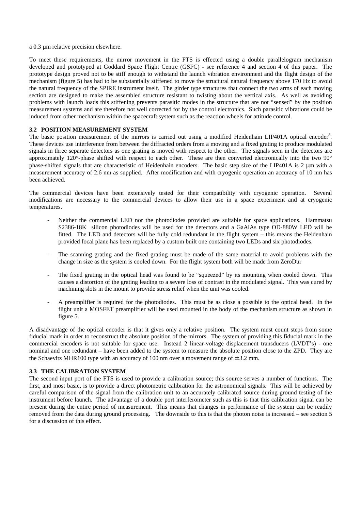a 0.3 µm relative precision elsewhere.

To meet these requirements, the mirror movement in the FTS is effected using a double parallelogram mechanism developed and prototyped at Goddard Space Flight Centre (GSFC) - see reference 4 and section 4 of this paper. The prototype design proved not to be stiff enough to withstand the launch vibration environment and the flight design of the mechanism (figure 5) has had to be substantially stiffened to move the structural natural frequency above 170 Hz to avoid the natural frequency of the SPIRE instrument itself. The girder type structures that connect the two arms of each moving section are designed to make the assembled structure resistant to twisting about the vertical axis. As well as avoiding problems with launch loads this stiffening prevents parasitic modes in the structure that are not "sensed" by the position measurement systems and are therefore not well corrected for by the control electronics. Such parasitic vibrations could be induced from other mechanism within the spacecraft system such as the reaction wheels for attitude control.

#### **3.2 POSITION MEASUREMENT SYSTEM**

The basic position measurement of the mirrors is carried out using a modified Heidenhain LIP401A optical encoder<sup>8</sup>. These devices use interference from between the diffracted orders from a moving and a fixed grating to produce modulated signals in three separate detectors as one grating is moved with respect to the other. The signals seen in the detectors are approximately 120°-phase shifted with respect to each other. These are then converted electronically into the two 90° phase-shifted signals that are characteristic of Heidenhain encoders. The basic step size of the LIP401A is 2 µm with a measurement accuracy of 2.6 nm as supplied. After modification and with cryogenic operation an accuracy of 10 nm has been achieved.

The commercial devices have been extensively tested for their compatibility with cryogenic operation. Several modifications are necessary to the commercial devices to allow their use in a space experiment and at cryogenic temperatures.

- Neither the commercial LED nor the photodiodes provided are suitable for space applications. Hammatsu S2386-18K silicon photodiodes will be used for the detectors and a GaAlAs type OD-880W LED will be fitted. The LED and detectors will be fully cold redundant in the flight system – this means the Heidenhain provided focal plane has been replaced by a custom built one containing two LEDs and six photodiodes.
- The scanning grating and the fixed grating must be made of the same material to avoid problems with the change in size as the system is cooled down. For the flight system both will be made from ZeroDur
- The fixed grating in the optical head was found to be "squeezed" by its mounting when cooled down. This causes a distortion of the grating leading to a severe loss of contrast in the modulated signal. This was cured by machining slots in the mount to provide stress relief when the unit was cooled.
- A preamplifier is required for the photodiodes. This must be as close a possible to the optical head. In the flight unit a MOSFET preamplifier will be used mounted in the body of the mechanism structure as shown in figure 5.

A disadvantage of the optical encoder is that it gives only a relative position. The system must count steps from some fiducial mark in order to reconstruct the absolute position of the mirrors. The system of providing this fiducial mark in the commercial encoders is not suitable for space use. Instead 2 linear-voltage displacement transducers (LVDT's) - one nominal and one redundant – have been added to the system to measure the absolute position close to the ZPD. They are the Schaevitz MHR100 type with an accuracy of 100 nm over a movement range of  $\pm$  3.2 mm.

### **3.3 THE CALIBRATION SYSTEM**

The second input port of the FTS is used to provide a calibration source; this source serves a number of functions. The first, and most basic, is to provide a direct photometric calibration for the astronomical signals. This will be achieved by careful comparison of the signal from the calibration unit to an accurately calibrated source during ground testing of the instrument before launch. The advantage of a double port interferometer such as this is that this calibration signal can be present during the entire period of measurement. This means that changes in performance of the system can be readily removed from the data during ground processing. The downside to this is that the photon noise is increased – see section 5 for a discussion of this effect.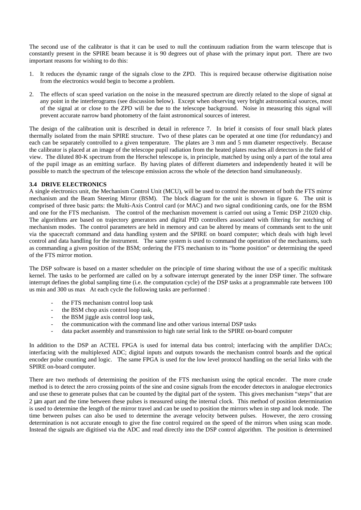The second use of the calibrator is that it can be used to null the continuum radiation from the warm telescope that is constantly present in the SPIRE beam because it is 90 degrees out of phase with the primary input port. There are two important reasons for wishing to do this:

- 1. It reduces the dynamic range of the signals close to the ZPD. This is required because otherwise digitisation noise from the electronics would begin to become a problem.
- 2. The effects of scan speed variation on the noise in the measured spectrum are directly related to the slope of signal at any point in the interferograms (see discussion below). Except when observing very bright astronomical sources, most of the signal at or close to the ZPD will be due to the telescope background. Noise in measuring this signal will prevent accurate narrow band photometry of the faint astronomical sources of interest.

The design of the calibration unit is described in detail in reference 7. In brief it consists of four small black plates thermally isolated from the main SPIRE structure. Two of these plates can be operated at one time (for redundancy) and each can be separately controlled to a given temperature. The plates are 3 mm and 5 mm diameter respectively. Because the calibrator is placed at an image of the telescope pupil radiation from the heated plates reaches all detectors in the field of view. The diluted 80-K spectrum from the Herschel telescope is, in principle, matched by using only a part of the total area of the pupil image as an emitting surface. By having plates of different diameters and independently heated it will be possible to match the spectrum of the telescope emission across the whole of the detection band simultaneously.

## **3.4 DRIVE ELECTRONICS**

A single electronics unit, the Mechanism Control Unit (MCU), will be used to control the movement of both the FTS mirror mechanism and the Beam Steering Mirror (BSM). The block diagram for the unit is shown in figure 6. The unit is comprised of three basic parts: the Multi-Axis Control card (or MAC) and two signal conditioning cards, one for the BSM and one for the FTS mechanism. The control of the mechanism movement is carried out using a Temic DSP 21020 chip. The algorithms are based on trajectory generators and digital PID controllers associated with filtering for notching of mechanism modes. The control parameters are held in memory and can be altered by means of commands sent to the unit via the spacecraft command and data handling system and the SPIRE on board computer; which deals with high level control and data handling for the instrument. The same system is used to command the operation of the mechanisms, such as commanding a given position of the BSM; ordering the FTS mechanism to its "home position" or determining the speed of the FTS mirror motion.

The DSP software is based on a master scheduler on the principle of time sharing without the use of a specific multitask kernel. The tasks to be performed are called on by a software interrupt generated by the inner DSP timer. The software interrupt defines the global sampling time (i.e. the computation cycle) of the DSP tasks at a programmable rate between 100 us min and 300 us max At each cycle the following tasks are performed :

- the FTS mechanism control loop task
- the BSM chop axis control loop task,
- the BSM jiggle axis control loop task,
- the communication with the command line and other various internal DSP tasks
- data packet assembly and transmission to high rate serial link to the SPIRE on-board computer

In addition to the DSP an ACTEL FPGA is used for internal data bus control; interfacing with the amplifier DACs; interfacing with the multiplexed ADC; digital inputs and outputs towards the mechanism control boards and the optical encoder pulse counting and logic. The same FPGA is used for the low level protocol handling on the serial links with the SPIRE on-board computer.

There are two methods of determining the position of the FTS mechanism using the optical encoder. The more crude method is to detect the zero crossing points of the sine and cosine signals from the encoder detectors in analogue electronics and use these to generate pulses that can be counted by the digital part of the system. This gives mechanism "steps" that are 2 µm apart and the time between these pulses is measured using the internal clock. This method of position determination is used to determine the length of the mirror travel and can be used to position the mirrors when in step and look mode. The time between pulses can also be used to determine the average velocity between pulses. However, the zero crossing determination is not accurate enough to give the fine control required on the speed of the mirrors when using scan mode. Instead the signals are digitised via the ADC and read directly into the DSP control algorithm. The position is determined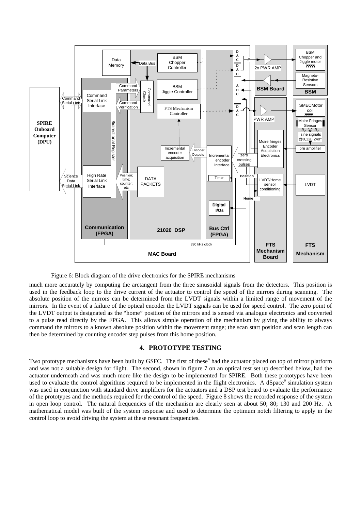

Figure 6: Block diagram of the drive electronics for the SPIRE mechanisms

much more accurately by computing the arctangent from the three sinusoidal signals from the detectors. This position is used in the feedback loop to the drive current of the actuator to control the speed of the mirrors during scanning. The absolute position of the mirrors can be determined from the LVDT signals within a limited range of movement of the mirrors. In the event of a failure of the optical encoder the LVDT signals can be used for speed control. The zero point of the LVDT output is designated as the "home" position of the mirrors and is sensed via analogue electronics and converted to a pulse read directly by the FPGA. This allows simple operation of the mechanism by giving the ability to always command the mirrors to a known absolute position within the movement range; the scan start position and scan length can then be determined by counting encoder step pulses from this home position.

## **4. PROTOTYPE TESTING**

Two prototype mechanisms have been built by GSFC. The first of these<sup>4</sup> had the actuator placed on top of mirror platform and was not a suitable design for flight. The second, shown in figure 7 on an optical test set up described below, had the actuator underneath and was much more like the design to be implemented for SPIRE. Both these prototypes have been used to evaluate the control algorithms required to be implemented in the flight electronics. A dSpace<sup>9</sup> simulation system was used in conjunction with standard drive amplifiers for the actuators and a DSP test board to evaluate the performance of the prototypes and the methods required for the control of the speed. Figure 8 shows the recorded response of the system in open loop control. The natural frequencies of the mechanism are clearly seen at about 50; 80; 130 and 200 Hz. A mathematical model was built of the system response and used to determine the optimum notch filtering to apply in the control loop to avoid driving the system at these resonant frequencies.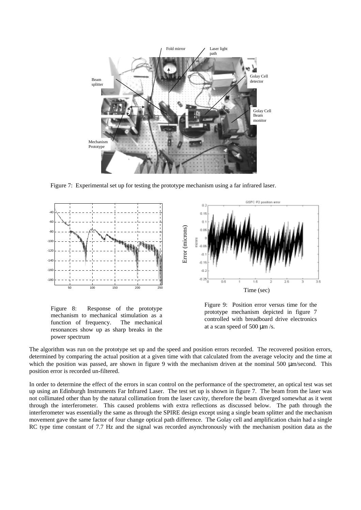

Figure 7: Experimental set up for testing the prototype mechanism using a far infrared laser.



Figure 8: Response of the prototype mechanism to mechanical stimulation as a function of frequency. The mechanical resonances show up as sharp breaks in the power spectrum



Figure 9: Position error versus time for the prototype mechanism depicted in figure 7 controlled with breadboard drive electronics at a scan speed of 500 µm /s.

The algorithm was run on the prototype set up and the speed and position errors recorded. The recovered position errors, determined by comparing the actual position at a given time with that calculated from the average velocity and the time at which the position was passed, are shown in figure 9 with the mechanism driven at the nominal 500  $\mu$ m/second. This position error is recorded un-filtered.

In order to determine the effect of the errors in scan control on the performance of the spectrometer, an optical test was set up using an Edinburgh Instruments Far Infrared Laser. The test set up is shown in figure 7. The beam from the laser was not collimated other than by the natural collimation from the laser cavity, therefore the beam diverged somewhat as it went through the interferometer. This caused problems with extra reflections as discussed below. The path through the interferometer was essentially the same as through the SPIRE design except using a single beam splitter and the mechanism movement gave the same factor of four change optical path difference. The Golay cell and amplification chain had a single RC type time constant of 7.7 Hz and the signal was recorded asynchronously with the mechanism position data as the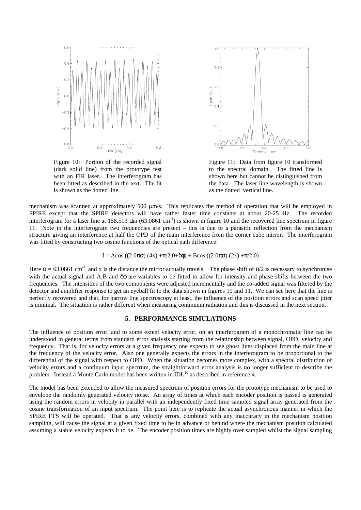

Figure 10: Portion of the recorded signal (dark solid line) from the prototype test with an FIR laser. The interferogram has been fitted as described in the text. The fit is shown as the dotted line.



Figure 11: Data from figure 10 transformed to the spectral domain. The fitted line is shown here but cannot be distinguished from the data. The laser line wavelength is shown as the dotted vertical line.

mechanism was scanned at approximately 500  $\mu$ m/s. This replicates the method of operation that will be employed in SPIRE except that the SPIRE detectors will have rather faster time constants at about 20-25 Hz. The recorded interferogram for a laser line at 158.513  $\mu$ m (63.0861 cm<sup>-1</sup>) is shown in figure 10 and the recovered line spectrum in figure 11. Note in the interferogram two frequencies are present – this is due to a parasitic reflection from the mechanism structure giving an interference at half the OPD of the main interference from the corner cube mirror. The interferogram was fitted by constructing two cosine functions of the optical path difference:

$$
I = A\cos ((2.0\pi\sigma) (4x) + \pi/2.0 + \delta\phi) + B\cos ((2.0\pi\sigma) (2x) + \pi/2.0)
$$

Here  $\sigma = 63.0861 \text{ cm}^{-1}$  and x is the distance the mirror actually travels. The phase shift of  $\pi/2$  is necessary to synchronise with the actual signal and A,B and δφ are variables to be fitted to allow for intensity and phase shifts between the two frequencies. The intensities of the two components were adjusted incrementally and the co-added signal was filtered by the detector and amplifier response to get an eyeball fit to the data shown in figures 10 and 11. We can see here that the line is perfectly recovered and that, for narrow line spectroscopy at least, the influence of the position errors and scan speed jitter is minimal. The situation is rather different when measuring continuum radiation and this is discussed in the next section.

### **5. PERFORMANCE SIMULATIONS**

The influence of position error, and to some extent velocity error, on an interferogram of a monochromatic line can be understood in general terms from standard error analysis starting from the relationship between signal, OPD, velocity and frequency. That is, for velocity errors at a given frequency one expects to see ghost lines displaced from the main line at the frequency of the velocity error. Also one generally expects the errors in the interferogram to be proportional to the differential of the signal with respect to OPD. When the situation becomes more complex, with a spectral distribution of velocity errors and a continuum input spectrum, the straightforward error analysis is no longer sufficient to describe the problem. Instead a Monte Carlo model has been written in IDL<sup>10</sup> as described in reference 4.

The model has been extended to allow the measured spectrum of position errors for the prototype mechanism to be used to envelope the randomly generated velocity noise. An array of times at which each encoder position is passed is generated using the random errors in velocity in parallel with an independently fixed time sampled signal array generated from the cosine transformation of an input spectrum. The point here is to replicate the actual asynchronous manner in which the SPIRE FTS will be operated. That is any velocity errors, combined with any inaccuracy in the mechanism position sampling, will cause the signal at a given fixed time to be in advance or behind where the mechanism position calculated assuming a stable velocity expects it to be. The encoder position times are highly over sampled whilst the signal sampling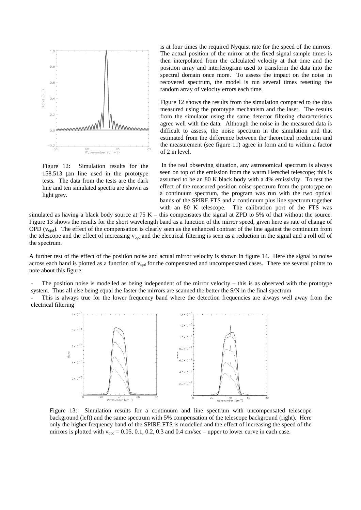

Figure 12: Simulation results for the 158.513 µm line used in the prototype tests. The data from the tests are the dark line and ten simulated spectra are shown as light grey.

is at four times the required Nyquist rate for the speed of the mirrors. The actual position of the mirror at the fixed signal sample times is then interpolated from the calculated velocity at that time and the position array and interferogram used to transform the data into the spectral domain once more. To assess the impact on the noise in recovered spectrum, the model is run several times resetting the random array of velocity errors each time.

Figure 12 shows the results from the simulation compared to the data measured using the prototype mechanism and the laser. The results from the simulator using the same detector filtering characteristics agree well with the data. Although the noise in the measured data is difficult to assess, the noise spectrum in the simulation and that estimated from the difference between the theoretical prediction and the measurement (see figure 11) agree in form and to within a factor of 2 in level.

 In the real observing situation, any astronomical spectrum is always seen on top of the emission from the warm Herschel telescope; this is assumed to be an 80 K black body with a 4% emissivity. To test the effect of the measured position noise spectrum from the prototype on a continuum spectrum, the program was run with the two optical bands of the SPIRE FTS and a continuum plus line spectrum together with an 80 K telescope. The calibration port of the FTS was

simulated as having a black body source at 75 K – this compensates the signal at ZPD to 5% of that without the source. Figure 13 shows the results for the short wavelength band as a function of the mirror speed, given here as rate of change of OPD  $(v_{\text{cond}})$ . The effect of the compensation is clearly seen as the enhanced contrast of the line against the continuum from the telescope and the effect of increasing v<sub>opd</sub> and the electrical filtering is seen as a reduction in the signal and a roll off of the spectrum.

A further test of the effect of the position noise and actual mirror velocity is shown in figure 14. Here the signal to noise across each band is plotted as a function of  $v_{opt}$  for the compensated and uncompensated cases. There are several points to note about this figure:

The position noise is modelled as being independent of the mirror velocity – this is as observed with the prototype system. Thus all else being equal the faster the mirrors are scanned the better the S/N in the final spectrum

This is always true for the lower frequency band where the detection frequencies are always well away from the electrical filtering



Figure 13: Simulation results for a continuum and line spectrum with uncompensated telescope background (left) and the same spectrum with 5% compensation of the telescope background (right). Here only the higher frequency band of the SPIRE FTS is modelled and the effect of increasing the speed of the mirrors is plotted with  $v_{\text{opt}} = 0.05, 0.1, 0.2, 0.3$  and  $0.4$  cm/sec – upper to lower curve in each case.